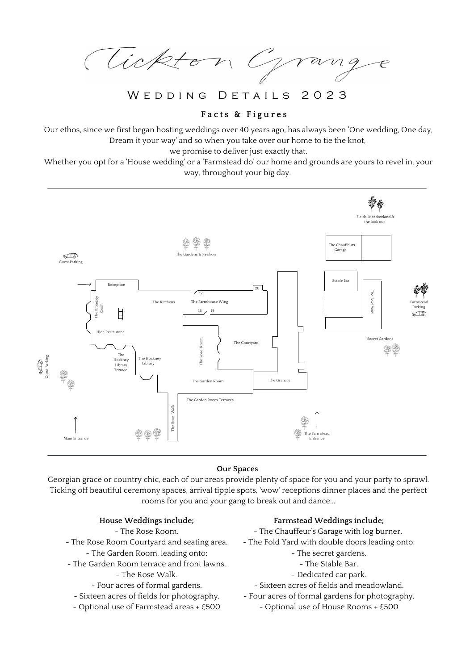Tickton G  $\gamma$ a

WED DING DETAILS 2023

# **F a c t s & F i g u r e s**

Our ethos, since we first began hosting weddings over 40 years ago, has always been 'One wedding, One day, Dream it your way' and so when you take over our home to tie the knot,

we promise to deliver just exactly that.

Whether you opt for a 'House wedding' or a 'Farmstead do' our home and grounds are yours to revel in, your way, throughout your big day.



## **Our Spaces**

Georgian grace or country chic, each of our areas provide plenty of space for you and your party to sprawl. Ticking off beautiful ceremony spaces, arrival tipple spots, 'wow' receptions dinner places and the perfect rooms for you and your gang to break out and dance...

## **House Weddings include;**

- ~ The Rose Room.
- ~ The Rose Room Courtyard and seating area.
	- ~ The Garden Room, leading onto;
- ~ The Garden Room terrace and front lawns.
	- ~ The Rose Walk.
	- ~ Four acres of formal gardens.
	- ~ Sixteen acres of fields for photography.
	- ~ Optional use of Farmstead areas + £500

## **Farmstead Weddings include;**

- ~ The Chauffeur's Garage with log burner.
- ~ The Fold Yard with double doors leading onto;
	- ~ The secret gardens.
		- ~ The Stable Bar.
	- ~ Dedicated car park.
	- ~ Sixteen acres of fields and meadowland.
- ~ Four acres of formal gardens for photography.
	- ~ Optional use of House Rooms + £500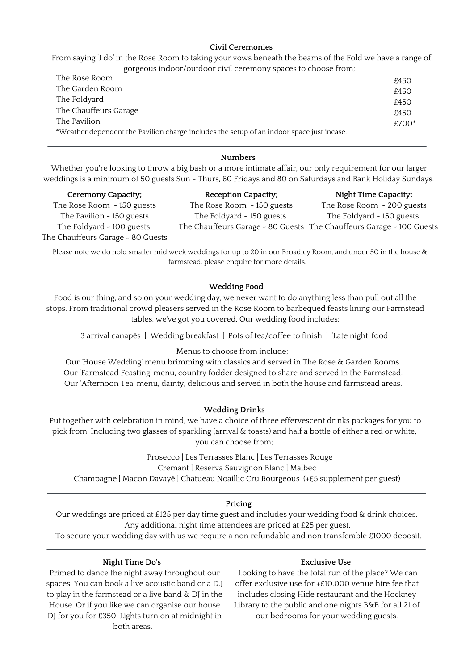## **Civil Ceremonies**

From saying 'I do' in the Rose Room to taking your vows beneath the beams of the Fold we have a range of gorgeous indoor/outdoor civil ceremony spaces to choose from;

| The Rose Room         |                                                                                           | £450    |
|-----------------------|-------------------------------------------------------------------------------------------|---------|
| The Garden Room       |                                                                                           | £450    |
| The Foldyard          |                                                                                           | £450    |
| The Chauffeurs Garage |                                                                                           | £450    |
| The Pavilion          |                                                                                           | $£700*$ |
|                       | *Weather dependent the Pavilion charge includes the setup of an indoor space just incase. |         |
|                       |                                                                                           |         |

### **Numbers**

Whether you're looking to throw a big bash or a more intimate affair, our only requirement for our larger weddings is a minimum of 50 guests Sun - Thurs, 60 Fridays and 80 on Saturdays and Bank Holiday Sundays.

| <b>Ceremony Capacity;</b>         | <b>Reception Capacity;</b> | <b>Night Time Capacity;</b>                                          |
|-----------------------------------|----------------------------|----------------------------------------------------------------------|
| The Rose Room - 150 guests        | The Rose Room - 150 guests | The Rose Room - 200 guests                                           |
| The Pavilion - 150 guests         | The Foldyard - 150 guests  | The Foldyard - 150 guests                                            |
| The Foldyard - 100 guests         |                            | The Chauffeurs Garage - 80 Guests The Chauffeurs Garage - 100 Guests |
| The Chauffeurs Garage - 80 Guests |                            |                                                                      |

Please note we do hold smaller mid week weddings for up to 20 in our Broadley Room, and under 50 in the house & farmstead, please enquire for more details.

### **Wedding Food**

Food is our thing, and so on your wedding day, we never want to do anything less than pull out all the stops. From traditional crowd pleasers served in the Rose Room to barbequed feasts lining our Farmstead tables, we've got you covered. Our wedding food includes;

3 arrival canapés | Wedding breakfast | Pots of tea/coffee to finish | 'Late night' food

### Menus to choose from include;

Our 'House Wedding' menu brimming with classics and served in The Rose & Garden Rooms. Our 'Farmstead Feasting' menu, country fodder designed to share and served in the Farmstead. Our 'Afternoon Tea' menu, dainty, delicious and served in both the house and farmstead areas.

### **Wedding Drinks**

Put together with celebration in mind, we have a choice of three effervescent drinks packages for you to pick from. Including two glasses of sparkling (arrival & toasts) and half a bottle of either a red or white, you can choose from;

> Prosecco | Les Terrasses Blanc | Les Terrasses Rouge Cremant | Reserva Sauvignon Blanc | Malbec

Champagne | Macon Davayé | Chatueau Noaillic Cru Bourgeous (+£5 supplement per guest)

## **Pricing**

Our weddings are priced at £125 per day time guest and includes your wedding food & drink choices. Any additional night time attendees are priced at £25 per guest.

To secure your wedding day with us we require a non refundable and non transferable £1000 deposit.

#### **Night Time Do's**

## **Exclusive Use**

Primed to dance the night away throughout our spaces. You can book a live acoustic band or a D.J to play in the farmstead or a live band & DJ in the House. Or if you like we can organise our house DJ for you for £350. Lights turn on at midnight in both areas.

Looking to have the total run of the place? We can offer exclusive use for +£10,000 venue hire fee that includes closing Hide restaurant and the Hockney Library to the public and one nights B&B for all 21 of our bedrooms for your wedding guests.